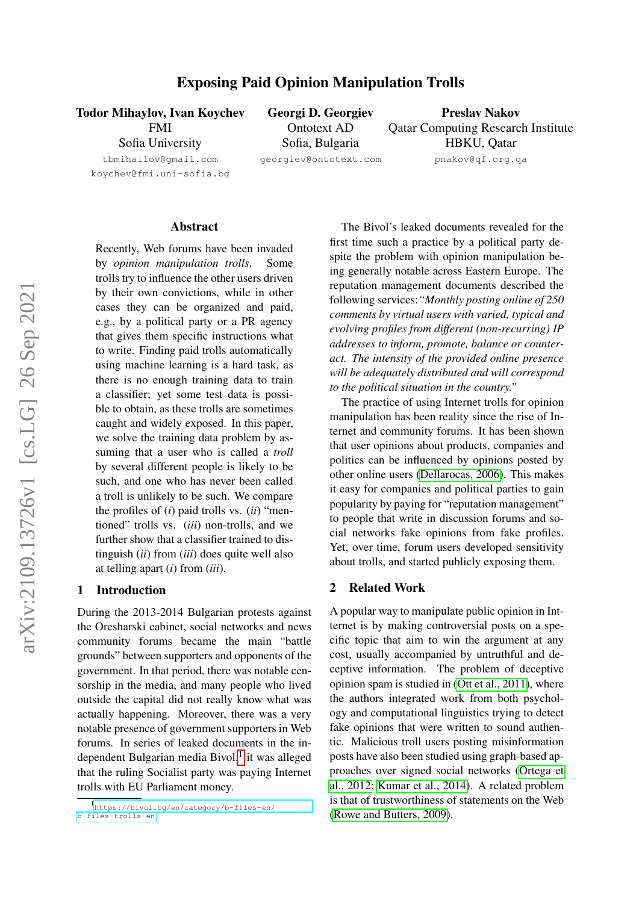Todor Mihaylov, Ivan Koychev

FMI Sofia University

tbmihailov@gmail.com koychev@fmi.uni-sofia.bg Georgi D. Georgiev Ontotext AD Sofia, Bulgaria

georgiev@ontotext.com

Preslav Nakov Qatar Computing Research Institute HBKU, Qatar pnakov@qf.org.qa

#### Abstract

Recently, Web forums have been invaded by *opinion manipulation trolls*. Some trolls try to influence the other users driven by their own convictions, while in other cases they can be organized and paid, e.g., by a political party or a PR agency that gives them specific instructions what to write. Finding paid trolls automatically using machine learning is a hard task, as there is no enough training data to train a classifier; yet some test data is possible to obtain, as these trolls are sometimes caught and widely exposed. In this paper, we solve the training data problem by assuming that a user who is called a *troll* by several different people is likely to be such, and one who has never been called a troll is unlikely to be such. We compare the profiles of (*i*) paid trolls vs. (*ii*) "mentioned" trolls vs. (*iii*) non-trolls, and we further show that a classifier trained to distinguish (*ii*) from (*iii*) does quite well also at telling apart (*i*) from (*iii*).

# 1 Introduction

During the 2013-2014 Bulgarian protests against the Oresharski cabinet, social networks and news community forums became the main "battle grounds" between supporters and opponents of the government. In that period, there was notable censorship in the media, and many people who lived outside the capital did not really know what was actually happening. Moreover, there was a very notable presence of government supporters in Web forums. In series of leaked documents in the in-dependent Bulgarian media Bivol,<sup>[1](#page-0-0)</sup> it was alleged that the ruling Socialist party was paying Internet trolls with EU Parliament money.

The Bivol's leaked documents revealed for the first time such a practice by a political party despite the problem with opinion manipulation being generally notable across Eastern Europe. The reputation management documents described the following services:*"Monthly posting online of 250 comments by virtual users with varied, typical and evolving profiles from different (non-recurring) IP addresses to inform, promote, balance or counteract. The intensity of the provided online presence will be adequately distributed and will correspond to the political situation in the country."*

The practice of using Internet trolls for opinion manipulation has been reality since the rise of Internet and community forums. It has been shown that user opinions about products, companies and politics can be influenced by opinions posted by other online users [\(Dellarocas, 2006\)](#page-6-0). This makes it easy for companies and political parties to gain popularity by paying for "reputation management" to people that write in discussion forums and social networks fake opinions from fake profiles. Yet, over time, forum users developed sensitivity about trolls, and started publicly exposing them.

# 2 Related Work

A popular way to manipulate public opinion in Intternet is by making controversial posts on a specific topic that aim to win the argument at any cost, usually accompanied by untruthful and deceptive information. The problem of deceptive opinion spam is studied in [\(Ott et al., 2011\)](#page-7-0), where the authors integrated work from both psychology and computational linguistics trying to detect fake opinions that were written to sound authentic. Malicious troll users posting misinformation posts have also been studied using graph-based approaches over signed social networks [\(Ortega et](#page-7-1) [al., 2012;](#page-7-1) [Kumar et al., 2014\)](#page-6-1). A related problem is that of trustworthiness of statements on the Web [\(Rowe and Butters, 2009\)](#page-7-2).

<span id="page-0-0"></span><sup>1</sup> [https://bivol.bg/en/category/b-files-en/](https://bivol.bg/en/category/b-files-en/b-files-trolls-en) [b-files-trolls-en](https://bivol.bg/en/category/b-files-en/b-files-trolls-en)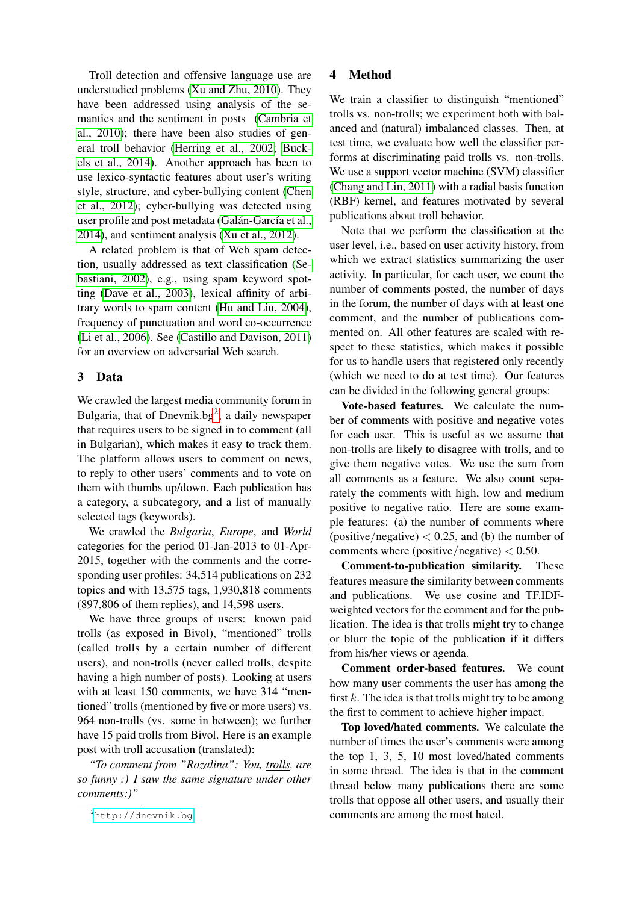Troll detection and offensive language use are understudied problems [\(Xu and Zhu, 2010\)](#page-7-3). They have been addressed using analysis of the semantics and the sentiment in posts [\(Cambria et](#page-6-2) [al., 2010\)](#page-6-2); there have been also studies of general troll behavior [\(Herring et al., 2002;](#page-6-3) [Buck](#page-6-4)[els et al., 2014\)](#page-6-4). Another approach has been to use lexico-syntactic features about user's writing style, structure, and cyber-bullying content [\(Chen](#page-6-5) [et al., 2012\)](#page-6-5); cyber-bullying was detected using user profile and post metadata (Galán-García et al., [2014\)](#page-6-6), and sentiment analysis [\(Xu et al., 2012\)](#page-7-4).

A related problem is that of Web spam detection, usually addressed as text classification [\(Se](#page-7-5)[bastiani, 2002\)](#page-7-5), e.g., using spam keyword spotting [\(Dave et al., 2003\)](#page-6-7), lexical affinity of arbitrary words to spam content [\(Hu and Liu, 2004\)](#page-6-8), frequency of punctuation and word co-occurrence [\(Li et al., 2006\)](#page-6-9). See [\(Castillo and Davison, 2011\)](#page-6-10) for an overview on adversarial Web search.

# 3 Data

We crawled the largest media community forum in Bulgaria, that of Dnevnik.bg<sup>[2](#page-1-0)</sup>, a daily newspaper that requires users to be signed in to comment (all in Bulgarian), which makes it easy to track them. The platform allows users to comment on news, to reply to other users' comments and to vote on them with thumbs up/down. Each publication has a category, a subcategory, and a list of manually selected tags (keywords).

We crawled the *Bulgaria*, *Europe*, and *World* categories for the period 01-Jan-2013 to 01-Apr-2015, together with the comments and the corresponding user profiles: 34,514 publications on 232 topics and with 13,575 tags, 1,930,818 comments (897,806 of them replies), and 14,598 users.

We have three groups of users: known paid trolls (as exposed in Bivol), "mentioned" trolls (called trolls by a certain number of different users), and non-trolls (never called trolls, despite having a high number of posts). Looking at users with at least 150 comments, we have 314 "mentioned" trolls (mentioned by five or more users) vs. 964 non-trolls (vs. some in between); we further have 15 paid trolls from Bivol. Here is an example post with troll accusation (translated):

*"To comment from "Rozalina": You, trolls, are so funny :) I saw the same signature under other comments:)"*

# 4 Method

We train a classifier to distinguish "mentioned" trolls vs. non-trolls; we experiment both with balanced and (natural) imbalanced classes. Then, at test time, we evaluate how well the classifier performs at discriminating paid trolls vs. non-trolls. We use a support vector machine (SVM) classifier [\(Chang and Lin, 2011\)](#page-6-11) with a radial basis function (RBF) kernel, and features motivated by several publications about troll behavior.

Note that we perform the classification at the user level, i.e., based on user activity history, from which we extract statistics summarizing the user activity. In particular, for each user, we count the number of comments posted, the number of days in the forum, the number of days with at least one comment, and the number of publications commented on. All other features are scaled with respect to these statistics, which makes it possible for us to handle users that registered only recently (which we need to do at test time). Our features can be divided in the following general groups:

Vote-based features. We calculate the number of comments with positive and negative votes for each user. This is useful as we assume that non-trolls are likely to disagree with trolls, and to give them negative votes. We use the sum from all comments as a feature. We also count separately the comments with high, low and medium positive to negative ratio. Here are some example features: (a) the number of comments where (positive/negative)  $< 0.25$ , and (b) the number of comments where (positive/negative)  $< 0.50$ .

Comment-to-publication similarity. These features measure the similarity between comments and publications. We use cosine and TF.IDFweighted vectors for the comment and for the publication. The idea is that trolls might try to change or blurr the topic of the publication if it differs from his/her views or agenda.

Comment order-based features. We count how many user comments the user has among the first  $k$ . The idea is that trolls might try to be among the first to comment to achieve higher impact.

Top loved/hated comments. We calculate the number of times the user's comments were among the top 1, 3, 5, 10 most loved/hated comments in some thread. The idea is that in the comment thread below many publications there are some trolls that oppose all other users, and usually their comments are among the most hated.

<span id="page-1-0"></span><sup>2</sup><http://dnevnik.bg>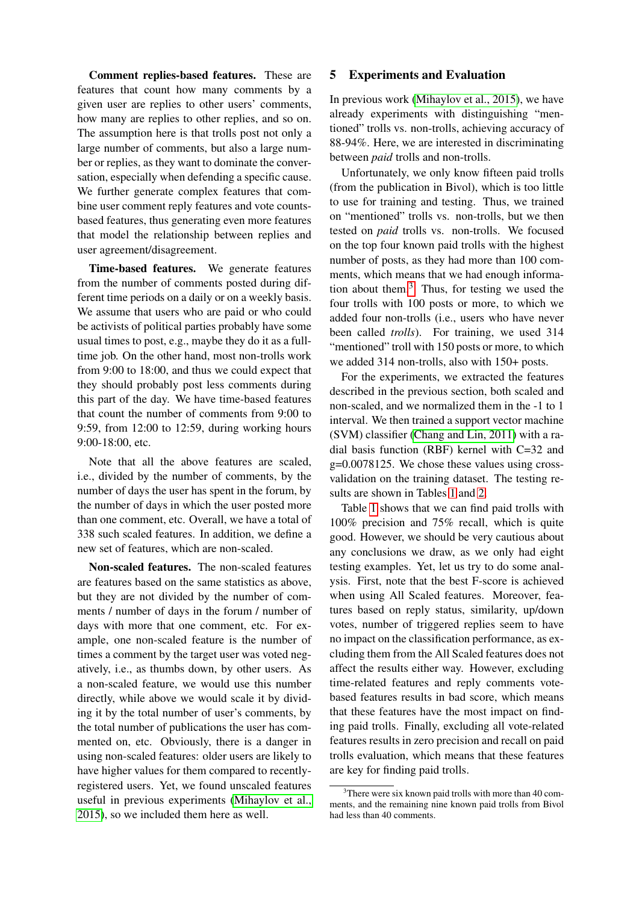Comment replies-based features. These are features that count how many comments by a given user are replies to other users' comments, how many are replies to other replies, and so on. The assumption here is that trolls post not only a large number of comments, but also a large number or replies, as they want to dominate the conversation, especially when defending a specific cause. We further generate complex features that combine user comment reply features and vote countsbased features, thus generating even more features that model the relationship between replies and user agreement/disagreement.

Time-based features. We generate features from the number of comments posted during different time periods on a daily or on a weekly basis. We assume that users who are paid or who could be activists of political parties probably have some usual times to post, e.g., maybe they do it as a fulltime job. On the other hand, most non-trolls work from 9:00 to 18:00, and thus we could expect that they should probably post less comments during this part of the day. We have time-based features that count the number of comments from 9:00 to 9:59, from 12:00 to 12:59, during working hours 9:00-18:00, etc.

Note that all the above features are scaled, i.e., divided by the number of comments, by the number of days the user has spent in the forum, by the number of days in which the user posted more than one comment, etc. Overall, we have a total of 338 such scaled features. In addition, we define a new set of features, which are non-scaled.

Non-scaled features. The non-scaled features are features based on the same statistics as above, but they are not divided by the number of comments / number of days in the forum / number of days with more that one comment, etc. For example, one non-scaled feature is the number of times a comment by the target user was voted negatively, i.e., as thumbs down, by other users. As a non-scaled feature, we would use this number directly, while above we would scale it by dividing it by the total number of user's comments, by the total number of publications the user has commented on, etc. Obviously, there is a danger in using non-scaled features: older users are likely to have higher values for them compared to recentlyregistered users. Yet, we found unscaled features useful in previous experiments [\(Mihaylov et al.,](#page-7-6) [2015\)](#page-7-6), so we included them here as well.

# 5 Experiments and Evaluation

In previous work [\(Mihaylov et al., 2015\)](#page-7-6), we have already experiments with distinguishing "mentioned" trolls vs. non-trolls, achieving accuracy of 88-94%. Here, we are interested in discriminating between *paid* trolls and non-trolls.

Unfortunately, we only know fifteen paid trolls (from the publication in Bivol), which is too little to use for training and testing. Thus, we trained on "mentioned" trolls vs. non-trolls, but we then tested on *paid* trolls vs. non-trolls. We focused on the top four known paid trolls with the highest number of posts, as they had more than 100 comments, which means that we had enough information about them. $3$  Thus, for testing we used the four trolls with 100 posts or more, to which we added four non-trolls (i.e., users who have never been called *trolls*). For training, we used 314 "mentioned" troll with 150 posts or more, to which we added 314 non-trolls, also with 150+ posts.

For the experiments, we extracted the features described in the previous section, both scaled and non-scaled, and we normalized them in the -1 to 1 interval. We then trained a support vector machine (SVM) classifier [\(Chang and Lin, 2011\)](#page-6-11) with a radial basis function (RBF) kernel with C=32 and g=0.0078125. We chose these values using crossvalidation on the training dataset. The testing results are shown in Tables [1](#page-3-0) and [2.](#page-3-1)

Table [1](#page-3-0) shows that we can find paid trolls with 100% precision and 75% recall, which is quite good. However, we should be very cautious about any conclusions we draw, as we only had eight testing examples. Yet, let us try to do some analysis. First, note that the best F-score is achieved when using All Scaled features. Moreover, features based on reply status, similarity, up/down votes, number of triggered replies seem to have no impact on the classification performance, as excluding them from the All Scaled features does not affect the results either way. However, excluding time-related features and reply comments votebased features results in bad score, which means that these features have the most impact on finding paid trolls. Finally, excluding all vote-related features results in zero precision and recall on paid trolls evaluation, which means that these features are key for finding paid trolls.

<span id="page-2-0"></span> $3$ There were six known paid trolls with more than 40 comments, and the remaining nine known paid trolls from Bivol had less than 40 comments.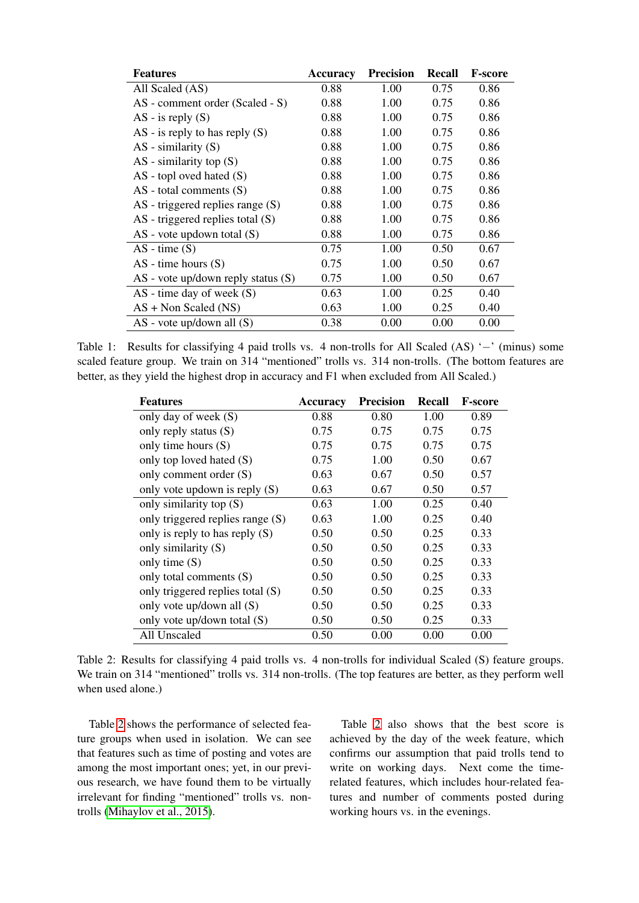| <b>Features</b>                        | <b>Accuracy</b> | <b>Precision</b> | <b>Recall</b> | <b>F-score</b> |
|----------------------------------------|-----------------|------------------|---------------|----------------|
| All Scaled (AS)                        | 0.88            | 1.00             | 0.75          | 0.86           |
| AS - comment order (Scaled - S)        | 0.88            | 1.00             | 0.75          | 0.86           |
| $AS - is reply(S)$                     | 0.88            | 1.00             | 0.75          | 0.86           |
| $AS - is reply to has reply (S)$       | 0.88            | 1.00             | 0.75          | 0.86           |
| $AS$ - similarity $(S)$                | 0.88            | 1.00             | 0.75          | 0.86           |
| $AS$ - similarity top $(S)$            | 0.88            | 1.00             | 0.75          | 0.86           |
| $AS$ - topl oved hated $(S)$           | 0.88            | 1.00             | 0.75          | 0.86           |
| $AS$ - total comments $(S)$            | 0.88            | 1.00             | 0.75          | 0.86           |
| $AS$ - triggered replies range $(S)$   | 0.88            | 1.00             | 0.75          | 0.86           |
| $AS$ - triggered replies total $(S)$   | 0.88            | 1.00             | 0.75          | 0.86           |
| $AS$ - vote updown total $(S)$         | 0.88            | 1.00             | 0.75          | 0.86           |
| $AS - time(S)$                         | 0.75            | 1.00             | 0.50          | 0.67           |
| $AS - time hours (S)$                  | 0.75            | 1.00             | 0.50          | 0.67           |
| $AS$ - vote up/down reply status $(S)$ | 0.75            | 1.00             | 0.50          | 0.67           |
| $AS$ - time day of week $(S)$          | 0.63            | 1.00             | 0.25          | 0.40           |
| $AS + Non Scaled (NS)$                 | 0.63            | 1.00             | 0.25          | 0.40           |
| $AS$ - vote up/down all $(S)$          | 0.38            | 0.00             | 0.00          | 0.00           |

<span id="page-3-0"></span>Table 1: Results for classifying 4 paid trolls vs. 4 non-trolls for All Scaled (AS) '−' (minus) some scaled feature group. We train on 314 "mentioned" trolls vs. 314 non-trolls. (The bottom features are better, as they yield the highest drop in accuracy and F1 when excluded from All Scaled.)

| <b>Features</b>                  | <b>Accuracy</b> | <b>Precision</b> | <b>Recall</b> | <b>F-score</b> |
|----------------------------------|-----------------|------------------|---------------|----------------|
| only day of week (S)             | 0.88            | 0.80             | 1.00          | 0.89           |
| only reply status (S)            | 0.75            | 0.75             | 0.75          | 0.75           |
| only time hours (S)              | 0.75            | 0.75             | 0.75          | 0.75           |
| only top loved hated (S)         | 0.75            | 1.00             | 0.50          | 0.67           |
| only comment order (S)           | 0.63            | 0.67             | 0.50          | 0.57           |
| only vote updown is reply (S)    | 0.63            | 0.67             | 0.50          | 0.57           |
| only similarity top (S)          | 0.63            | 1.00             | 0.25          | 0.40           |
| only triggered replies range (S) | 0.63            | 1.00             | 0.25          | 0.40           |
| only is reply to has reply $(S)$ | 0.50            | 0.50             | 0.25          | 0.33           |
| only similarity (S)              | 0.50            | 0.50             | 0.25          | 0.33           |
| only time $(S)$                  | 0.50            | 0.50             | 0.25          | 0.33           |
| only total comments (S)          | 0.50            | 0.50             | 0.25          | 0.33           |
| only triggered replies total (S) | 0.50            | 0.50             | 0.25          | 0.33           |
| only vote up/down all (S)        | 0.50            | 0.50             | 0.25          | 0.33           |
| only vote up/down total $(S)$    | 0.50            | 0.50             | 0.25          | 0.33           |
| All Unscaled                     | 0.50            | 0.00             | 0.00          | 0.00           |

<span id="page-3-1"></span>Table 2: Results for classifying 4 paid trolls vs. 4 non-trolls for individual Scaled (S) feature groups. We train on 314 "mentioned" trolls vs. 314 non-trolls. (The top features are better, as they perform well when used alone.)

Table [2](#page-3-1) shows the performance of selected feature groups when used in isolation. We can see that features such as time of posting and votes are among the most important ones; yet, in our previous research, we have found them to be virtually irrelevant for finding "mentioned" trolls vs. nontrolls [\(Mihaylov et al., 2015\)](#page-7-6).

Table [2](#page-3-1) also shows that the best score is achieved by the day of the week feature, which confirms our assumption that paid trolls tend to write on working days. Next come the timerelated features, which includes hour-related features and number of comments posted during working hours vs. in the evenings.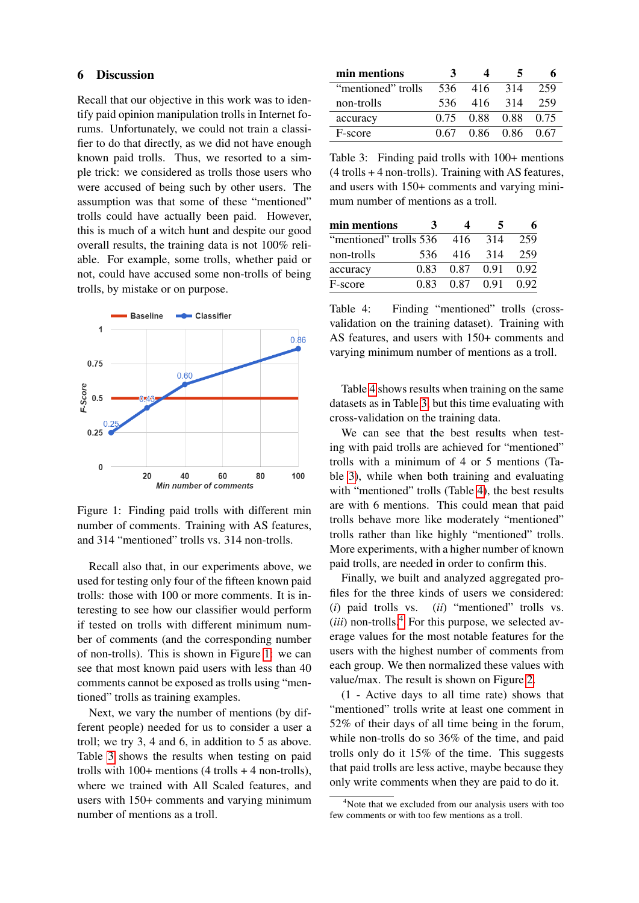### 6 Discussion

Recall that our objective in this work was to identify paid opinion manipulation trolls in Internet forums. Unfortunately, we could not train a classifier to do that directly, as we did not have enough known paid trolls. Thus, we resorted to a simple trick: we considered as trolls those users who were accused of being such by other users. The assumption was that some of these "mentioned" trolls could have actually been paid. However, this is much of a witch hunt and despite our good overall results, the training data is not 100% reliable. For example, some trolls, whether paid or not, could have accused some non-trolls of being trolls, by mistake or on purpose.



<span id="page-4-0"></span>Figure 1: Finding paid trolls with different min number of comments. Training with AS features, and 314 "mentioned" trolls vs. 314 non-trolls.

Recall also that, in our experiments above, we used for testing only four of the fifteen known paid trolls: those with 100 or more comments. It is interesting to see how our classifier would perform if tested on trolls with different minimum number of comments (and the corresponding number of non-trolls). This is shown in Figure [1:](#page-4-0) we can see that most known paid users with less than 40 comments cannot be exposed as trolls using "mentioned" trolls as training examples.

Next, we vary the number of mentions (by different people) needed for us to consider a user a troll; we try 3, 4 and 6, in addition to 5 as above. Table [3](#page-4-1) shows the results when testing on paid trolls with  $100+$  mentions  $(4 \text{ trells} + 4 \text{ non-trolls})$ , where we trained with All Scaled features, and users with 150+ comments and varying minimum number of mentions as a troll.

| min mentions       | з    |                     |           |      |
|--------------------|------|---------------------|-----------|------|
| "mentioned" trolls | 536  |                     | 416 314   | 259  |
| non-trolls         | 536  |                     | 416 314   | 259  |
| accuracy           |      | 0.75 0.88 0.88 0.75 |           |      |
| F-score            | 0.67 |                     | 0.86 0.86 | 0.67 |

<span id="page-4-1"></span>Table 3: Finding paid trolls with 100+ mentions  $(4$  trolls  $+$  4 non-trolls). Training with AS features, and users with 150+ comments and varying minimum number of mentions as a troll.

| min mentions           | 3    |      |      |      |
|------------------------|------|------|------|------|
| "mentioned" trolls 536 |      | 416  | 314  | 259  |
| non-trolls             | 536  | 416  | -314 | 259  |
| accuracy               | 0.83 | 0.87 | 0.91 | 0.92 |
| F-score                | 0.83 | 0.87 | 0.91 | 0.92 |

<span id="page-4-2"></span>Table 4: Finding "mentioned" trolls (crossvalidation on the training dataset). Training with AS features, and users with 150+ comments and varying minimum number of mentions as a troll.

Table [4](#page-4-2) shows results when training on the same datasets as in Table [3,](#page-4-1) but this time evaluating with cross-validation on the training data.

We can see that the best results when testing with paid trolls are achieved for "mentioned" trolls with a minimum of 4 or 5 mentions (Table [3\)](#page-4-1), while when both training and evaluating with "mentioned" trolls (Table [4\)](#page-4-2), the best results are with 6 mentions. This could mean that paid trolls behave more like moderately "mentioned" trolls rather than like highly "mentioned" trolls. More experiments, with a higher number of known paid trolls, are needed in order to confirm this.

Finally, we built and analyzed aggregated profiles for the three kinds of users we considered: (*i*) paid trolls vs. (*ii*) "mentioned" trolls vs.  $(iii)$  non-trolls.<sup>[4](#page-4-3)</sup> For this purpose, we selected average values for the most notable features for the users with the highest number of comments from each group. We then normalized these values with value/max. The result is shown on Figure [2.](#page-5-0)

(1 - Active days to all time rate) shows that "mentioned" trolls write at least one comment in 52% of their days of all time being in the forum, while non-trolls do so 36% of the time, and paid trolls only do it 15% of the time. This suggests that paid trolls are less active, maybe because they only write comments when they are paid to do it.

<span id="page-4-3"></span><sup>&</sup>lt;sup>4</sup>Note that we excluded from our analysis users with too few comments or with too few mentions as a troll.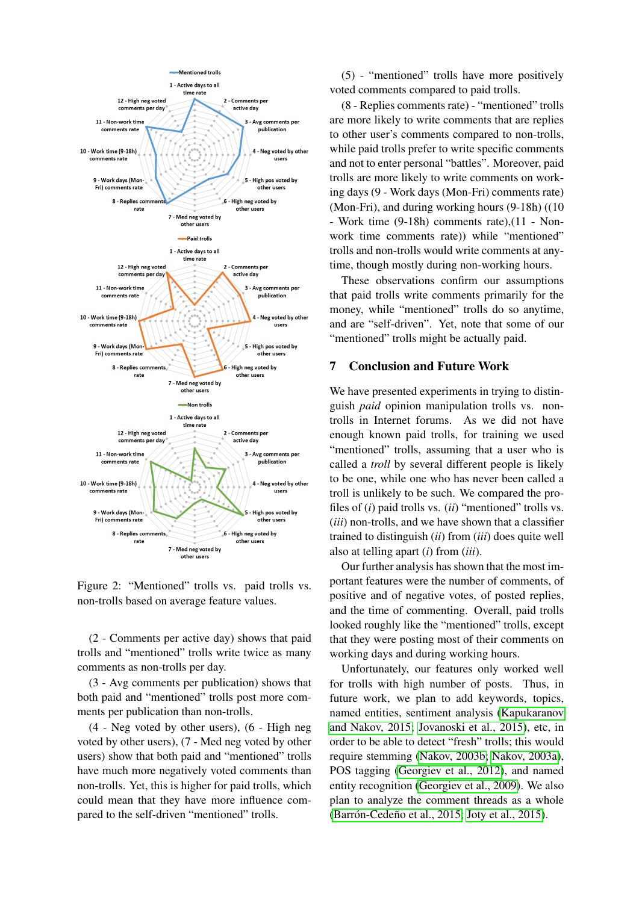

<span id="page-5-0"></span>Figure 2: "Mentioned" trolls vs. paid trolls vs. non-trolls based on average feature values.

(2 - Comments per active day) shows that paid trolls and "mentioned" trolls write twice as many comments as non-trolls per day.

(3 - Avg comments per publication) shows that both paid and "mentioned" trolls post more comments per publication than non-trolls.

(4 - Neg voted by other users), (6 - High neg voted by other users), (7 - Med neg voted by other users) show that both paid and "mentioned" trolls have much more negatively voted comments than non-trolls. Yet, this is higher for paid trolls, which could mean that they have more influence compared to the self-driven "mentioned" trolls.

(5) - "mentioned" trolls have more positively voted comments compared to paid trolls.

(8 - Replies comments rate) - "mentioned" trolls are more likely to write comments that are replies to other user's comments compared to non-trolls, while paid trolls prefer to write specific comments and not to enter personal "battles". Moreover, paid trolls are more likely to write comments on working days (9 - Work days (Mon-Fri) comments rate) (Mon-Fri), and during working hours (9-18h) ((10 - Work time (9-18h) comments rate),(11 - Nonwork time comments rate)) while "mentioned" trolls and non-trolls would write comments at anytime, though mostly during non-working hours.

These observations confirm our assumptions that paid trolls write comments primarily for the money, while "mentioned" trolls do so anytime, and are "self-driven". Yet, note that some of our "mentioned" trolls might be actually paid.

### 7 Conclusion and Future Work

We have presented experiments in trying to distinguish *paid* opinion manipulation trolls vs. nontrolls in Internet forums. As we did not have enough known paid trolls, for training we used "mentioned" trolls, assuming that a user who is called a *troll* by several different people is likely to be one, while one who has never been called a troll is unlikely to be such. We compared the profiles of (*i*) paid trolls vs. (*ii*) "mentioned" trolls vs. (*iii*) non-trolls, and we have shown that a classifier trained to distinguish (*ii*) from (*iii*) does quite well also at telling apart (*i*) from (*iii*).

Our further analysis has shown that the most important features were the number of comments, of positive and of negative votes, of posted replies, and the time of commenting. Overall, paid trolls looked roughly like the "mentioned" trolls, except that they were posting most of their comments on working days and during working hours.

Unfortunately, our features only worked well for trolls with high number of posts. Thus, in future work, we plan to add keywords, topics, named entities, sentiment analysis [\(Kapukaranov](#page-6-12) [and Nakov, 2015;](#page-6-12) [Jovanoski et al., 2015\)](#page-6-13), etc, in order to be able to detect "fresh" trolls; this would require stemming [\(Nakov, 2003b;](#page-7-7) [Nakov, 2003a\)](#page-7-8), POS tagging [\(Georgiev et al., 2012\)](#page-6-14), and named entity recognition [\(Georgiev et al., 2009\)](#page-6-15). We also plan to analyze the comment threads as a whole (Barrón-Cedeño et al., 2015; [Joty et al., 2015\)](#page-6-17).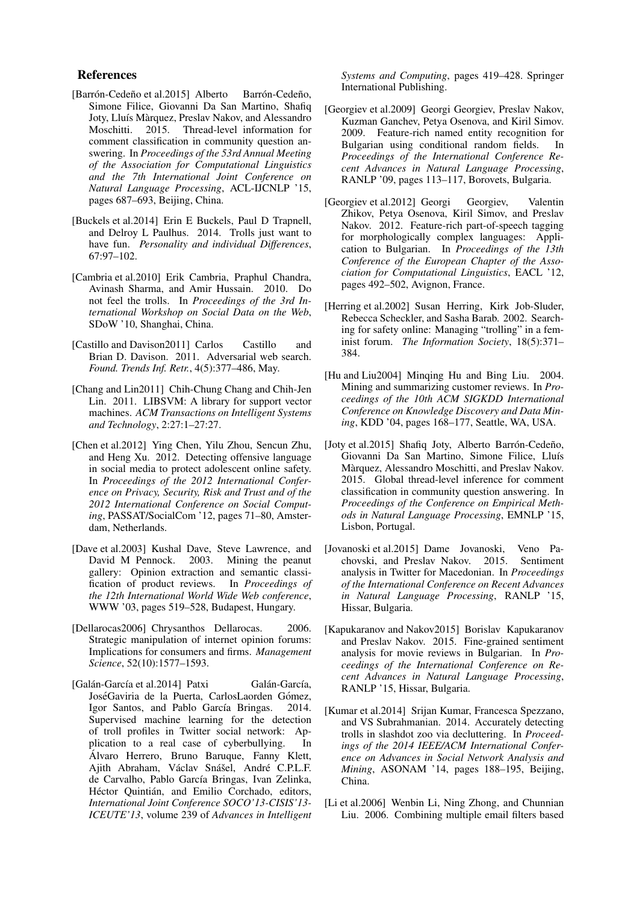#### References

- <span id="page-6-16"></span>[Barrón-Cedeño et al.2015] Alberto Barrón-Cedeño, Simone Filice, Giovanni Da San Martino, Shafiq Joty, Lluís Màrquez, Preslav Nakov, and Alessandro Moschitti. 2015. Thread-level information for comment classification in community question answering. In *Proceedings of the 53rd Annual Meeting of the Association for Computational Linguistics and the 7th International Joint Conference on Natural Language Processing*, ACL-IJCNLP '15, pages 687–693, Beijing, China.
- <span id="page-6-4"></span>[Buckels et al.2014] Erin E Buckels, Paul D Trapnell, and Delroy L Paulhus. 2014. Trolls just want to have fun. *Personality and individual Differences*, 67:97–102.
- <span id="page-6-2"></span>[Cambria et al.2010] Erik Cambria, Praphul Chandra, Avinash Sharma, and Amir Hussain. 2010. Do not feel the trolls. In *Proceedings of the 3rd International Workshop on Social Data on the Web*, SDoW '10, Shanghai, China.
- <span id="page-6-10"></span>[Castillo and Davison2011] Carlos Castillo and Brian D. Davison. 2011. Adversarial web search. *Found. Trends Inf. Retr.*, 4(5):377–486, May.
- <span id="page-6-11"></span>[Chang and Lin2011] Chih-Chung Chang and Chih-Jen Lin. 2011. LIBSVM: A library for support vector machines. *ACM Transactions on Intelligent Systems and Technology*, 2:27:1–27:27.
- <span id="page-6-5"></span>[Chen et al.2012] Ying Chen, Yilu Zhou, Sencun Zhu, and Heng Xu. 2012. Detecting offensive language in social media to protect adolescent online safety. In *Proceedings of the 2012 International Conference on Privacy, Security, Risk and Trust and of the 2012 International Conference on Social Computing*, PASSAT/SocialCom '12, pages 71–80, Amsterdam, Netherlands.
- <span id="page-6-7"></span>[Dave et al.2003] Kushal Dave, Steve Lawrence, and David M Pennock. 2003. Mining the peanut gallery: Opinion extraction and semantic classification of product reviews. In *Proceedings of* fication of product reviews. *the 12th International World Wide Web conference*, WWW '03, pages 519–528, Budapest, Hungary.
- <span id="page-6-0"></span>[Dellarocas2006] Chrysanthos Dellarocas. 2006. Strategic manipulation of internet opinion forums: Implications for consumers and firms. *Management Science*, 52(10):1577–1593.
- <span id="page-6-6"></span>[Galán-García et al.2014] Patxi Galán-García, JoséGaviria de la Puerta, CarlosLaorden Gómez, Igor Santos, and Pablo García Bringas. 2014. Supervised machine learning for the detection of troll profiles in Twitter social network: Application to a real case of cyberbullying. In Alvaro Herrero, Bruno Baruque, Fanny Klett, ´ Ajith Abraham, Václav Snášel, André C.P.L.F. de Carvalho, Pablo García Bringas, Ivan Zelinka, Héctor Quintián, and Emilio Corchado, editors, *International Joint Conference SOCO'13-CISIS'13- ICEUTE'13*, volume 239 of *Advances in Intelligent*

*Systems and Computing*, pages 419–428. Springer International Publishing.

- <span id="page-6-15"></span>[Georgiev et al.2009] Georgi Georgiev, Preslav Nakov, Kuzman Ganchev, Petya Osenova, and Kiril Simov. 2009. Feature-rich named entity recognition for Bulgarian using conditional random fields. In *Proceedings of the International Conference Recent Advances in Natural Language Processing*, RANLP '09, pages 113–117, Borovets, Bulgaria.
- <span id="page-6-14"></span>[Georgiev et al.2012] Georgi Georgiev, Valentin Zhikov, Petya Osenova, Kiril Simov, and Preslav Nakov. 2012. Feature-rich part-of-speech tagging for morphologically complex languages: Application to Bulgarian. In *Proceedings of the 13th Conference of the European Chapter of the Association for Computational Linguistics*, EACL '12, pages 492–502, Avignon, France.
- <span id="page-6-3"></span>[Herring et al.2002] Susan Herring, Kirk Job-Sluder, Rebecca Scheckler, and Sasha Barab. 2002. Searching for safety online: Managing "trolling" in a feminist forum. *The Information Society*, 18(5):371– 384.
- <span id="page-6-8"></span>[Hu and Liu2004] Minqing Hu and Bing Liu. 2004. Mining and summarizing customer reviews. In *Proceedings of the 10th ACM SIGKDD International Conference on Knowledge Discovery and Data Mining*, KDD '04, pages 168–177, Seattle, WA, USA.
- <span id="page-6-17"></span>[Joty et al.2015] Shafiq Joty, Alberto Barrón-Cedeño, Giovanni Da San Martino, Simone Filice, Lluís Marquez, Alessandro Moschitti, and Preslav Nakov. ` 2015. Global thread-level inference for comment classification in community question answering. In *Proceedings of the Conference on Empirical Methods in Natural Language Processing*, EMNLP '15, Lisbon, Portugal.
- <span id="page-6-13"></span>[Jovanoski et al.2015] Dame Jovanoski, Veno Pachovski, and Preslav Nakov. 2015. Sentiment analysis in Twitter for Macedonian. In *Proceedings of the International Conference on Recent Advances in Natural Language Processing*, RANLP '15, Hissar, Bulgaria.
- <span id="page-6-12"></span>[Kapukaranov and Nakov2015] Borislav Kapukaranov and Preslav Nakov. 2015. Fine-grained sentiment analysis for movie reviews in Bulgarian. In *Proceedings of the International Conference on Recent Advances in Natural Language Processing*, RANLP '15, Hissar, Bulgaria.
- <span id="page-6-1"></span>[Kumar et al.2014] Srijan Kumar, Francesca Spezzano, and VS Subrahmanian. 2014. Accurately detecting trolls in slashdot zoo via decluttering. In *Proceedings of the 2014 IEEE/ACM International Conference on Advances in Social Network Analysis and Mining*, ASONAM '14, pages 188–195, Beijing, China.
- <span id="page-6-9"></span>[Li et al.2006] Wenbin Li, Ning Zhong, and Chunnian Liu. 2006. Combining multiple email filters based